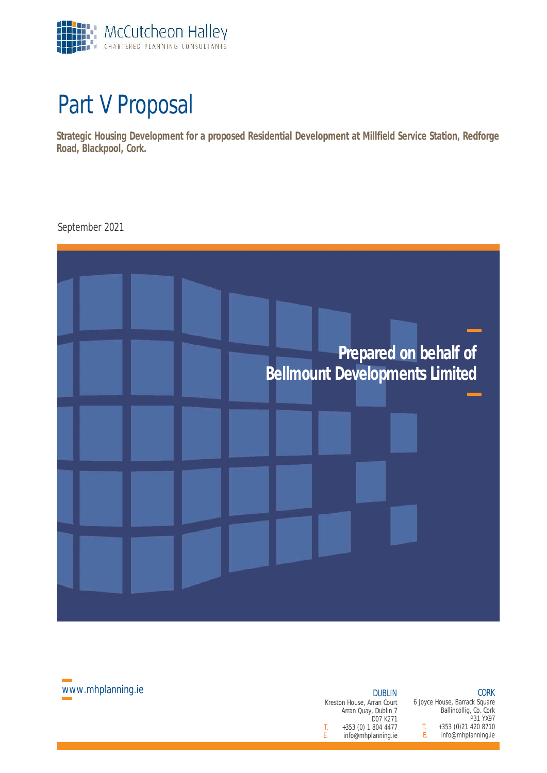

## Part V Proposal

**Strategic Housing Development for a proposed Residential Development at Millfield Service Station, Redforge Road, Blackpool, Cork.**

September 2021





Kreston House, Arran Court Arran Quay, Dublin 7 D07 K271 T. +353 (0) 1 804 4477 T.<br>F. info@mhplanning.ie E. E. info@mhplanning.ie

#### CORK 6 Joyce House, Barrack Square

Ballincollig, Co. Cork P31 YX97

+353 (0)21 420 8710 info@mhplanning.ie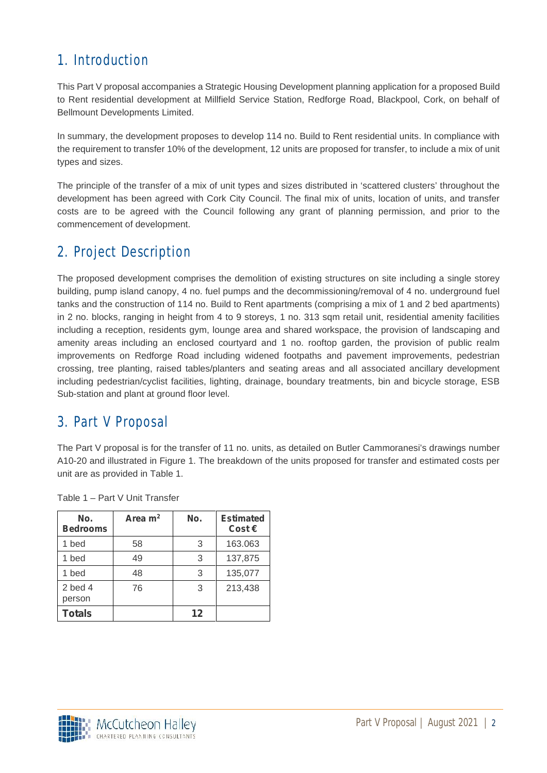## 1. Introduction

This Part V proposal accompanies a Strategic Housing Development planning application for a proposed Build to Rent residential development at Millfield Service Station, Redforge Road, Blackpool, Cork, on behalf of Bellmount Developments Limited.

In summary, the development proposes to develop 114 no. Build to Rent residential units. In compliance with the requirement to transfer 10% of the development, 12 units are proposed for transfer, to include a mix of unit types and sizes.

The principle of the transfer of a mix of unit types and sizes distributed in 'scattered clusters' throughout the development has been agreed with Cork City Council. The final mix of units, location of units, and transfer costs are to be agreed with the Council following any grant of planning permission, and prior to the commencement of development.

## 2. Project Description

The proposed development comprises the demolition of existing structures on site including a single storey building, pump island canopy, 4 no. fuel pumps and the decommissioning/removal of 4 no. underground fuel tanks and the construction of 114 no. Build to Rent apartments (comprising a mix of 1 and 2 bed apartments) in 2 no. blocks, ranging in height from 4 to 9 storeys, 1 no. 313 sqm retail unit, residential amenity facilities including a reception, residents gym, lounge area and shared workspace, the provision of landscaping and amenity areas including an enclosed courtyard and 1 no. rooftop garden, the provision of public realm improvements on Redforge Road including widened footpaths and pavement improvements, pedestrian crossing, tree planting, raised tables/planters and seating areas and all associated ancillary development including pedestrian/cyclist facilities, lighting, drainage, boundary treatments, bin and bicycle storage, ESB Sub-station and plant at ground floor level.

### 3. Part V Proposal

The Part V proposal is for the transfer of 11 no. units, as detailed on Butler Cammoranesi's drawings number A10-20 and illustrated in Figure 1. The breakdown of the units proposed for transfer and estimated costs per unit are as provided in Table 1.

| No.<br><b>Bedrooms</b> | Area $m2$ | No.     | <b>Estimated</b><br>Cost $\in$ |
|------------------------|-----------|---------|--------------------------------|
| 1 bed                  | 58        | 3       | 163.063                        |
| 1 bed                  | 49        | 3       | 137,875                        |
| 1 bed                  | 48        | 3       | 135,077                        |
| $2$ bed $4$<br>person  | 76        | 3       | 213,438                        |
| <b>Totals</b>          |           | $12 \,$ |                                |

Table 1 – Part V Unit Transfer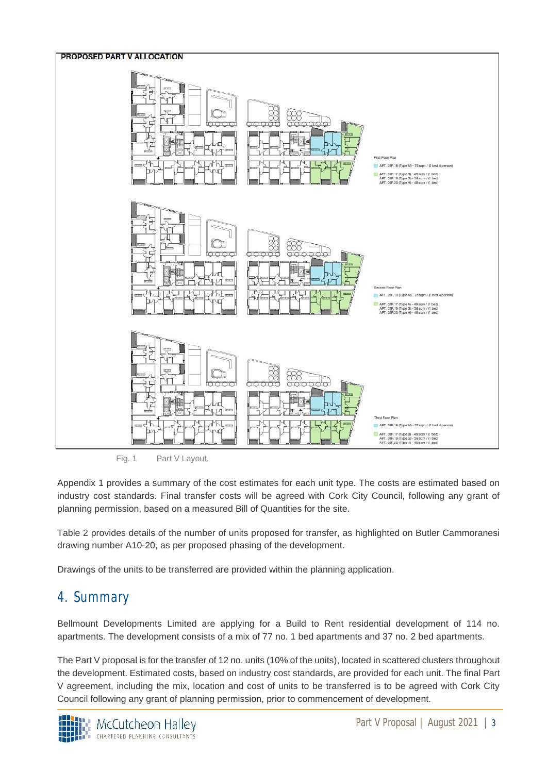

Fig. 1 Part V Layout.

Appendix 1 provides a summary of the cost estimates for each unit type. The costs are estimated based on industry cost standards. Final transfer costs will be agreed with Cork City Council, following any grant of planning permission, based on a measured Bill of Quantities for the site.

Table 2 provides details of the number of units proposed for transfer, as highlighted on Butler Cammoranesi drawing number A10-20, as per proposed phasing of the development.

Drawings of the units to be transferred are provided within the planning application.

## 4. Summary

Bellmount Developments Limited are applying for a Build to Rent residential development of 114 no. apartments. The development consists of a mix of 77 no. 1 bed apartments and 37 no. 2 bed apartments.

The Part V proposal is for the transfer of 12 no. units (10% of the units), located in scattered clusters throughout the development. Estimated costs, based on industry cost standards, are provided for each unit. The final Part V agreement, including the mix, location and cost of units to be transferred is to be agreed with Cork City Council following any grant of planning permission, prior to commencement of development.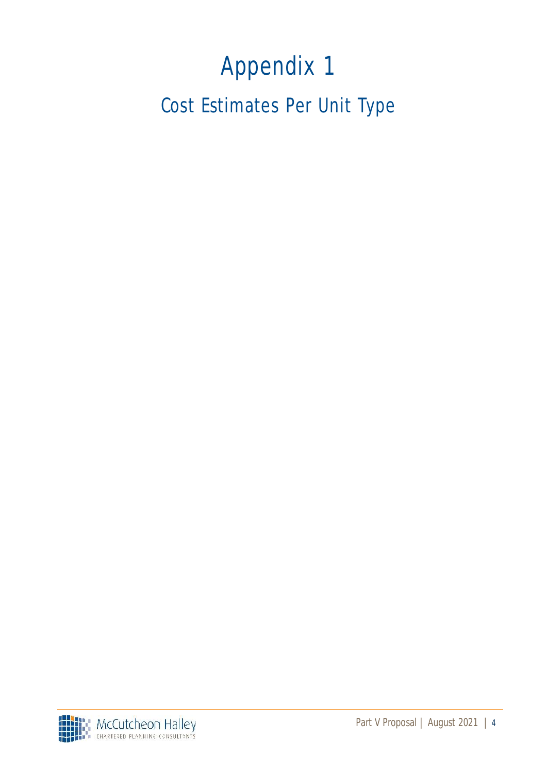# Appendix 1

Cost Estimates Per Unit Type

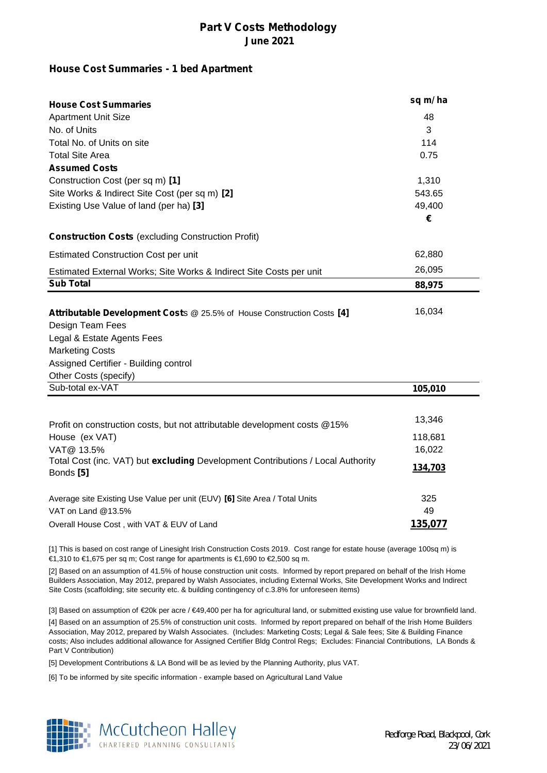#### **House Cost Summaries - 1 bed Apartment**

| <b>House Cost Summaries</b>                                                                  | sq m/ha          |
|----------------------------------------------------------------------------------------------|------------------|
| <b>Apartment Unit Size</b>                                                                   | 48               |
| No. of Units                                                                                 | 3<br>114<br>0.75 |
| Total No. of Units on site                                                                   |                  |
| <b>Total Site Area</b>                                                                       |                  |
| <b>Assumed Costs</b>                                                                         |                  |
| Construction Cost (per sq m) [1]                                                             | 1,310            |
| Site Works & Indirect Site Cost (per sq m) [2]                                               | 543.65           |
| Existing Use Value of land (per ha) [3]                                                      | 49,400           |
|                                                                                              | €                |
| <b>Construction Costs (excluding Construction Profit)</b>                                    |                  |
| <b>Estimated Construction Cost per unit</b>                                                  | 62,880           |
| Estimated External Works; Site Works & Indirect Site Costs per unit                          | 26,095           |
| <b>Sub Total</b>                                                                             | 88,975           |
|                                                                                              |                  |
| Attributable Development Costs @ 25.5% of House Construction Costs [4]                       | 16,034           |
| Design Team Fees                                                                             |                  |
| Legal & Estate Agents Fees                                                                   |                  |
| <b>Marketing Costs</b>                                                                       |                  |
| Assigned Certifier - Building control                                                        |                  |
| Other Costs (specify)                                                                        |                  |
| Sub-total ex-VAT                                                                             | 105,010          |
|                                                                                              |                  |
| Profit on construction costs, but not attributable development costs @15%                    | 13,346           |
| House (ex VAT)                                                                               | 118,681          |
| VAT@ 13.5%                                                                                   | 16,022           |
| Total Cost (inc. VAT) but excluding Development Contributions / Local Authority<br>Bonds [5] | 134,703          |
| Average site Existing Use Value per unit (EUV) [6] Site Area / Total Units                   | 325              |
| VAT on Land @13.5%                                                                           | 49               |
| Overall House Cost, with VAT & EUV of Land                                                   | 135,077          |

[1] This is based on cost range of Linesight Irish Construction Costs 2019. Cost range for estate house (average 100sq m) is €1,310 to €1,675 per sq m; Cost range for apartments is €1,690 to €2,500 sq m.

[2] Based on an assumption of 41.5% of house construction unit costs. Informed by report prepared on behalf of the Irish Home Builders Association, May 2012, prepared by Walsh Associates, including External Works, Site Development Works and Indirect Site Costs (scaffolding; site security etc. & building contingency of c.3.8% for unforeseen items)

[4] Based on an assumption of 25.5% of construction unit costs. Informed by report prepared on behalf of the Irish Home Builders Association, May 2012, prepared by Walsh Associates. (Includes: Marketing Costs; Legal & Sale fees; Site & Building Finance costs; Also includes additional allowance for Assigned Certifier Bldg Control Regs; Excludes: Financial Contributions, LA Bonds & Part V Contribution) [3] Based on assumption of €20k per acre / €49,400 per ha for agricultural land, or submitted existing use value for brownfield land.

[5] Development Contributions & LA Bond will be as levied by the Planning Authority, plus VAT.

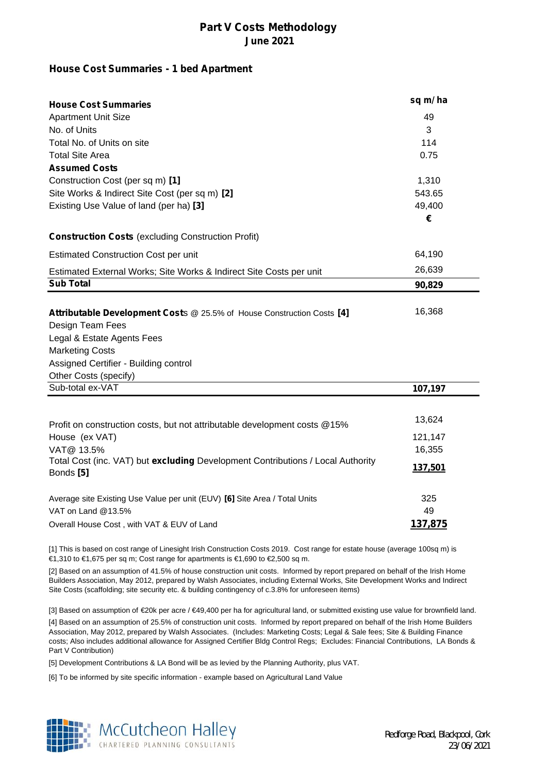#### **House Cost Summaries - 1 bed Apartment**

| <b>House Cost Summaries</b>                                                                  | sq m/ha          |
|----------------------------------------------------------------------------------------------|------------------|
| <b>Apartment Unit Size</b>                                                                   | 49               |
| No. of Units                                                                                 | 3<br>114<br>0.75 |
| Total No. of Units on site                                                                   |                  |
| <b>Total Site Area</b>                                                                       |                  |
| <b>Assumed Costs</b>                                                                         |                  |
| Construction Cost (per sq m) [1]                                                             | 1,310            |
| Site Works & Indirect Site Cost (per sq m) [2]                                               | 543.65           |
| Existing Use Value of land (per ha) [3]                                                      | 49,400           |
|                                                                                              | €                |
| <b>Construction Costs (excluding Construction Profit)</b>                                    |                  |
| <b>Estimated Construction Cost per unit</b>                                                  | 64,190           |
| Estimated External Works; Site Works & Indirect Site Costs per unit                          | 26,639           |
| <b>Sub Total</b>                                                                             | 90,829           |
|                                                                                              |                  |
| Attributable Development Costs @ 25.5% of House Construction Costs [4]                       | 16,368           |
| Design Team Fees                                                                             |                  |
| Legal & Estate Agents Fees                                                                   |                  |
| <b>Marketing Costs</b>                                                                       |                  |
| Assigned Certifier - Building control                                                        |                  |
| Other Costs (specify)                                                                        |                  |
| Sub-total ex-VAT                                                                             | 107,197          |
|                                                                                              |                  |
| Profit on construction costs, but not attributable development costs @15%                    | 13,624           |
| House (ex VAT)                                                                               | 121,147          |
| VAT@ 13.5%                                                                                   | 16,355           |
| Total Cost (inc. VAT) but excluding Development Contributions / Local Authority<br>Bonds [5] | 137,501          |
| Average site Existing Use Value per unit (EUV) [6] Site Area / Total Units                   | 325              |
| VAT on Land @13.5%                                                                           | 49               |
| Overall House Cost, with VAT & EUV of Land                                                   | 137,875          |

[1] This is based on cost range of Linesight Irish Construction Costs 2019. Cost range for estate house (average 100sq m) is €1,310 to €1,675 per sq m; Cost range for apartments is €1,690 to €2,500 sq m.

[2] Based on an assumption of 41.5% of house construction unit costs. Informed by report prepared on behalf of the Irish Home Builders Association, May 2012, prepared by Walsh Associates, including External Works, Site Development Works and Indirect Site Costs (scaffolding; site security etc. & building contingency of c.3.8% for unforeseen items)

[4] Based on an assumption of 25.5% of construction unit costs. Informed by report prepared on behalf of the Irish Home Builders Association, May 2012, prepared by Walsh Associates. (Includes: Marketing Costs; Legal & Sale fees; Site & Building Finance costs; Also includes additional allowance for Assigned Certifier Bldg Control Regs; Excludes: Financial Contributions, LA Bonds & Part V Contribution) [3] Based on assumption of €20k per acre / €49,400 per ha for agricultural land, or submitted existing use value for brownfield land.

[5] Development Contributions & LA Bond will be as levied by the Planning Authority, plus VAT.

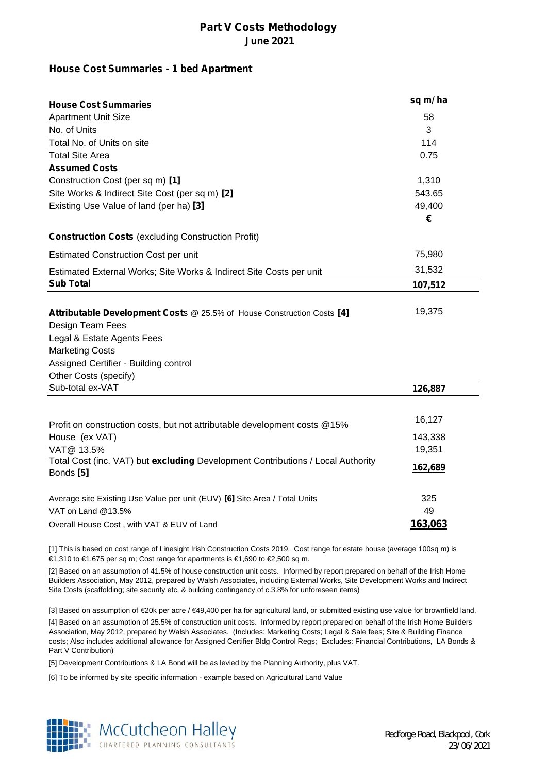#### **House Cost Summaries - 1 bed Apartment**

| <b>House Cost Summaries</b>                                                                  | sq m/ha          |
|----------------------------------------------------------------------------------------------|------------------|
| <b>Apartment Unit Size</b>                                                                   | 58               |
| No. of Units                                                                                 | 3<br>114<br>0.75 |
| Total No. of Units on site                                                                   |                  |
| <b>Total Site Area</b>                                                                       |                  |
| <b>Assumed Costs</b>                                                                         |                  |
| Construction Cost (per sq m) [1]                                                             | 1,310<br>543.65  |
| Site Works & Indirect Site Cost (per sq m) [2]                                               |                  |
| Existing Use Value of land (per ha) [3]                                                      | 49,400           |
|                                                                                              | €                |
| <b>Construction Costs (excluding Construction Profit)</b>                                    |                  |
| <b>Estimated Construction Cost per unit</b>                                                  | 75,980           |
| Estimated External Works; Site Works & Indirect Site Costs per unit                          | 31,532           |
| <b>Sub Total</b>                                                                             | 107,512          |
|                                                                                              |                  |
| Attributable Development Costs @ 25.5% of House Construction Costs [4]                       | 19,375           |
| Design Team Fees                                                                             |                  |
| Legal & Estate Agents Fees                                                                   |                  |
| <b>Marketing Costs</b>                                                                       |                  |
| Assigned Certifier - Building control                                                        |                  |
| Other Costs (specify)                                                                        |                  |
| Sub-total ex-VAT                                                                             | 126,887          |
|                                                                                              |                  |
| Profit on construction costs, but not attributable development costs @15%                    | 16,127           |
| House (ex VAT)                                                                               | 143,338          |
| VAT@ 13.5%                                                                                   | 19,351           |
| Total Cost (inc. VAT) but excluding Development Contributions / Local Authority<br>Bonds [5] | 162,689          |
| Average site Existing Use Value per unit (EUV) [6] Site Area / Total Units                   | 325              |
| VAT on Land @13.5%                                                                           | 49               |
| Overall House Cost, with VAT & EUV of Land                                                   | 163,063          |

[1] This is based on cost range of Linesight Irish Construction Costs 2019. Cost range for estate house (average 100sq m) is €1,310 to €1,675 per sq m; Cost range for apartments is €1,690 to €2,500 sq m.

[2] Based on an assumption of 41.5% of house construction unit costs. Informed by report prepared on behalf of the Irish Home Builders Association, May 2012, prepared by Walsh Associates, including External Works, Site Development Works and Indirect Site Costs (scaffolding; site security etc. & building contingency of c.3.8% for unforeseen items)

[4] Based on an assumption of 25.5% of construction unit costs. Informed by report prepared on behalf of the Irish Home Builders Association, May 2012, prepared by Walsh Associates. (Includes: Marketing Costs; Legal & Sale fees; Site & Building Finance costs; Also includes additional allowance for Assigned Certifier Bldg Control Regs; Excludes: Financial Contributions, LA Bonds & Part V Contribution) [3] Based on assumption of €20k per acre / €49,400 per ha for agricultural land, or submitted existing use value for brownfield land.

[5] Development Contributions & LA Bond will be as levied by the Planning Authority, plus VAT.